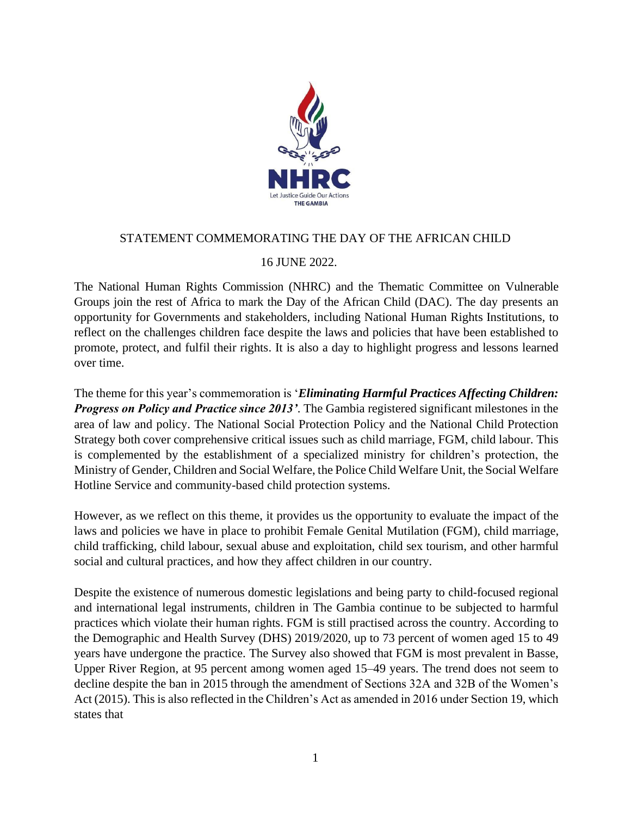

## STATEMENT COMMEMORATING THE DAY OF THE AFRICAN CHILD

## 16 JUNE 2022.

The National Human Rights Commission (NHRC) and the Thematic Committee on Vulnerable Groups join the rest of Africa to mark the Day of the African Child (DAC). The day presents an opportunity for Governments and stakeholders, including National Human Rights Institutions, to reflect on the challenges children face despite the laws and policies that have been established to promote, protect, and fulfil their rights. It is also a day to highlight progress and lessons learned over time.

The theme for this year's commemoration is '*Eliminating Harmful Practices Affecting Children: Progress on Policy and Practice since 2013'*. The Gambia registered significant milestones in the area of law and policy. The National Social Protection Policy and the National Child Protection Strategy both cover comprehensive critical issues such as child marriage, FGM, child labour. This is complemented by the establishment of a specialized ministry for children's protection, the Ministry of Gender, Children and Social Welfare, the Police Child Welfare Unit, the Social Welfare Hotline Service and community-based child protection systems.

However, as we reflect on this theme, it provides us the opportunity to evaluate the impact of the laws and policies we have in place to prohibit Female Genital Mutilation (FGM), child marriage, child trafficking, child labour, sexual abuse and exploitation, child sex tourism, and other harmful social and cultural practices, and how they affect children in our country.

Despite the existence of numerous domestic legislations and being party to child-focused regional and international legal instruments, children in The Gambia continue to be subjected to harmful practices which violate their human rights. FGM is still practised across the country. According to the Demographic and Health Survey (DHS) 2019/2020, up to 73 percent of women aged 15 to 49 years have undergone the practice. The Survey also showed that FGM is most prevalent in Basse, Upper River Region, at 95 percent among women aged 15–49 years. The trend does not seem to decline despite the ban in 2015 through the amendment of Sections 32A and 32B of the Women's Act (2015). This is also reflected in the Children's Act as amended in 2016 under Section 19, which states that